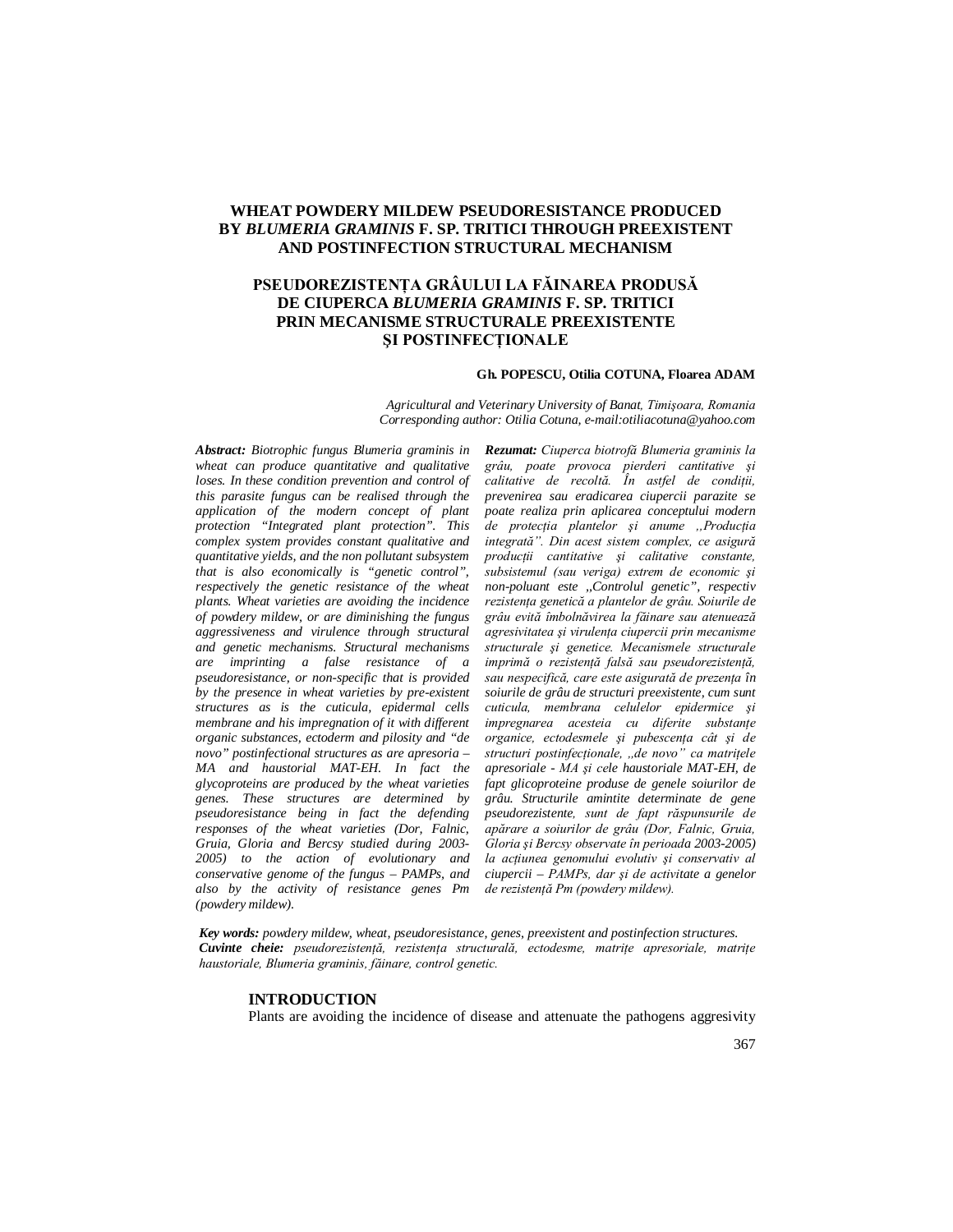# **WHEAT POWDERY MILDEW PSEUDORESISTANCE PRODUCED BY** *BLUMERIA GRAMINIS* **F. SP. TRITICI THROUGH PREEXISTENT AND POSTINFECTION STRUCTURAL MECHANISM**

# **PSEUDOREZISTENŢA GRÂULUI LA FĂINAREA PRODUSĂ DE CIUPERCA** *BLUMERIA GRAMINIS* **F. SP. TRITICI PRIN MECANISME STRUCTURALE PREEXISTENTE ŞI POSTINFECŢIONALE**

### **Gh. POPESCU, Otilia COTUNA, Floarea ADAM**

*Agricultural and Veterinary University of Banat, Timişoara, Romania Corresponding author: Otilia Cotuna, e-mail:otiliacotuna@yahoo.com*

*Abstract: Biotrophic fungus Blumeria graminis in wheat can produce quantitative and qualitative loses. In these condition prevention and control of this parasite fungus can be realised through the application of the modern concept of plant protection "Integrated plant protection". This complex system provides constant qualitative and quantitative yields, and the non pollutant subsystem that is also economically is "genetic control", respectively the genetic resistance of the wheat plants. Wheat varieties are avoiding the incidence of powdery mildew, or are diminishing the fungus aggressiveness and virulence through structural and genetic mechanisms. Structural mechanisms are imprinting a false resistance of a pseudoresistance, or non-specific that is provided by the presence in wheat varieties by pre-existent structures as is the cuticula, epidermal cells membrane and his impregnation of it with different organic substances, ectoderm and pilosity and "de novo" postinfectional structures as are apresoria – MA and haustorial MAT-EH. In fact the glycoproteins are produced by the wheat varieties genes. These structures are determined by pseudoresistance being in fact the defending responses of the wheat varieties (Dor, Falnic, Gruia, Gloria and Bercsy studied during 2003- 2005) to the action of evolutionary and conservative genome of the fungus – PAMPs, and also by the activity of resistance genes Pm (powdery mildew).*

*Rezumat: Ciuperca biotrofă Blumeria graminis la grâu, poate provoca pierderi cantitative şi calitative de recoltă. În astfel de condiţii, prevenirea sau eradicarea ciupercii parazite se poate realiza prin aplicarea conceptului modern de protecţia plantelor şi anume ,,Producţia integrată". Din acest sistem complex, ce asigură producţii cantitative şi calitative constante, subsistemul (sau veriga) extrem de economic şi non-poluant este ,,Controlul genetic", respectiv rezistenţa genetică a plantelor de grâu. Soiurile de grâu evită îmbolnăvirea la făinare sau atenuează agresivitatea şi virulenţa ciupercii prin mecanisme structurale şi genetice. Mecanismele structurale imprimă o rezistență falsă sau pseudorezistență, sau nespecifică, care este asigurată de prezenţa în soiurile de grâu de structuri preexistente, cum sunt cuticula, membrana celulelor epidermice şi impregnarea acesteia cu diferite substante organice, ectodesmele şi pubescenţa cât şi de structuri postinfecţionale, ,,de novo" ca matriţele apresoriale - MA şi cele haustoriale MAT-EH, de fapt glicoproteine produse de genele soiurilor de grâu. Structurile amintite determinate de gene pseudorezistente, sunt de fapt răspunsurile de apărare a soiurilor de grâu (Dor, Falnic, Gruia, Gloria şi Bercsy observate în perioada 2003-2005) la acţiunea genomului evolutiv şi conservativ al ciupercii – PAMPs, dar şi de activitate a genelor de rezistenţă Pm (powdery mildew).*

*Key words: powdery mildew, wheat, pseudoresistance, genes, preexistent and postinfection structures. Cuvinte cheie: pseudorezistenţă, rezistenţa structurală, ectodesme, matriţe apresoriale, matriţe haustoriale, Blumeria graminis, făinare, control genetic.*

## **INTRODUCTION**

Plants are avoiding the incidence of disease and attenuate the pathogens aggresivity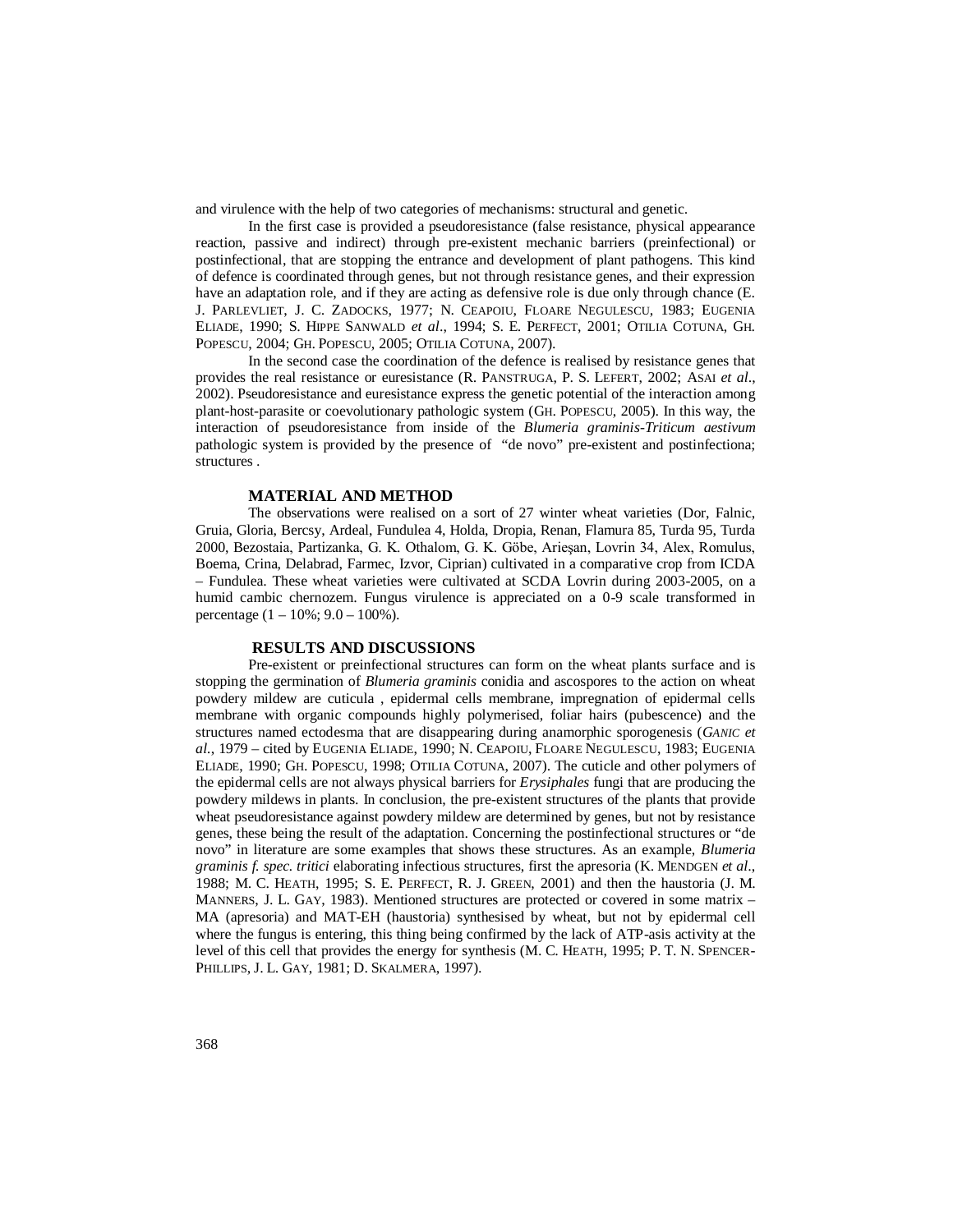and virulence with the help of two categories of mechanisms: structural and genetic.

In the first case is provided a pseudoresistance (false resistance, physical appearance reaction, passive and indirect) through pre-existent mechanic barriers (preinfectional) or postinfectional, that are stopping the entrance and development of plant pathogens. This kind of defence is coordinated through genes, but not through resistance genes, and their expression have an adaptation role, and if they are acting as defensive role is due only through chance (E. J. PARLEVLIET, J. C. ZADOCKS, 1977; N. CEAPOIU, FLOARE NEGULESCU, 1983; EUGENIA ELIADE, 1990; S. HIPPE SANWALD *et al*., 1994; S. E. PERFECT, 2001; OTILIA COTUNA, GH. POPESCU, 2004; GH. POPESCU, 2005; OTILIA COTUNA, 2007).

In the second case the coordination of the defence is realised by resistance genes that provides the real resistance or euresistance (R. PANSTRUGA, P. S. LEFERT, 2002; ASAI *et al*., 2002). Pseudoresistance and euresistance express the genetic potential of the interaction among plant-host-parasite or coevolutionary pathologic system (GH. POPESCU, 2005). In this way, the interaction of pseudoresistance from inside of the *Blumeria graminis-Triticum aestivum* pathologic system is provided by the presence of "de novo" pre-existent and postinfectiona; structures .

### **MATERIAL AND METHOD**

The observations were realised on a sort of 27 winter wheat varieties (Dor, Falnic, Gruia, Gloria, Bercsy, Ardeal, Fundulea 4, Holda, Dropia, Renan, Flamura 85, Turda 95, Turda 2000, Bezostaia, Partizanka, G. K. Othalom, G. K. Göbe, Arieşan, Lovrin 34, Alex, Romulus, Boema, Crina, Delabrad, Farmec, Izvor, Ciprian) cultivated in a comparative crop from ICDA – Fundulea. These wheat varieties were cultivated at SCDA Lovrin during 2003-2005, on a humid cambic chernozem. Fungus virulence is appreciated on a 0-9 scale transformed in percentage  $(1 - 10\%; 9.0 - 100\%).$ 

## **RESULTS AND DISCUSSIONS**

Pre-existent or preinfectional structures can form on the wheat plants surface and is stopping the germination of *Blumeria graminis* conidia and ascospores to the action on wheat powdery mildew are cuticula , epidermal cells membrane, impregnation of epidermal cells membrane with organic compounds highly polymerised, foliar hairs (pubescence) and the structures named ectodesma that are disappearing during anamorphic sporogenesis (*GANIC et al.*, 1979 – cited by EUGENIA ELIADE, 1990; N. CEAPOIU, FLOARE NEGULESCU, 1983; EUGENIA ELIADE, 1990; GH. POPESCU, 1998; OTILIA COTUNA, 2007). The cuticle and other polymers of the epidermal cells are not always physical barriers for *Erysiphales* fungi that are producing the powdery mildews in plants. In conclusion, the pre-existent structures of the plants that provide wheat pseudoresistance against powdery mildew are determined by genes, but not by resistance genes, these being the result of the adaptation. Concerning the postinfectional structures or "de novo" in literature are some examples that shows these structures. As an example, *Blumeria graminis f. spec. tritici* elaborating infectious structures, first the apresoria (K. MENDGEN *et al*., 1988; M. C. HEATH, 1995; S. E. PERFECT, R. J. GREEN, 2001) and then the haustoria (J. M. MANNERS, J. L. GAY, 1983). Mentioned structures are protected or covered in some matrix – MA (apresoria) and MAT-EH (haustoria) synthesised by wheat, but not by epidermal cell where the fungus is entering, this thing being confirmed by the lack of ATP-asis activity at the level of this cell that provides the energy for synthesis (M. C. HEATH, 1995; P. T. N. SPENCER-PHILLIPS, J. L. GAY, 1981; D. SKALMERA, 1997).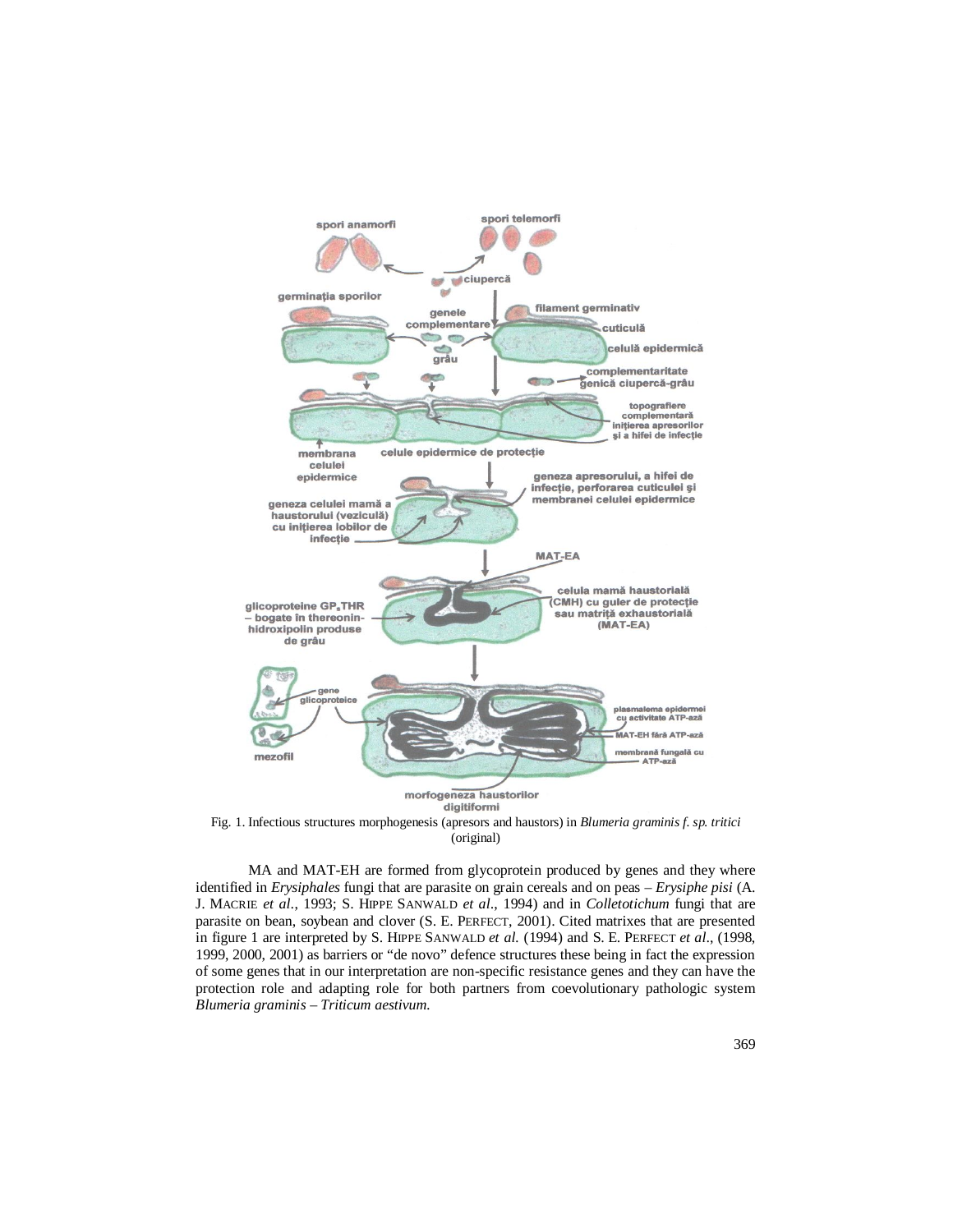

Fig. 1. Infectious structures morphogenesis (apresors and haustors) in *Blumeria graminis f. sp. tritici* (original)

MA and MAT-EH are formed from glycoprotein produced by genes and they where identified in *Erysiphales* fungi that are parasite on grain cereals and on peas – *Erysiphe pisi* (A. J. MACRIE *et al*., 1993; S. HIPPE SANWALD *et al*., 1994) and in *Colletotichum* fungi that are parasite on bean, soybean and clover (S. E. PERFECT, 2001). Cited matrixes that are presented in figure 1 are interpreted by S. HIPPE SANWALD *et al.* (1994) and S. E. PERFECT *et al*., (1998, 1999, 2000, 2001) as barriers or "de novo" defence structures these being in fact the expression of some genes that in our interpretation are non-specific resistance genes and they can have the protection role and adapting role for both partners from coevolutionary pathologic system *Blumeria graminis – Triticum aestivum.*